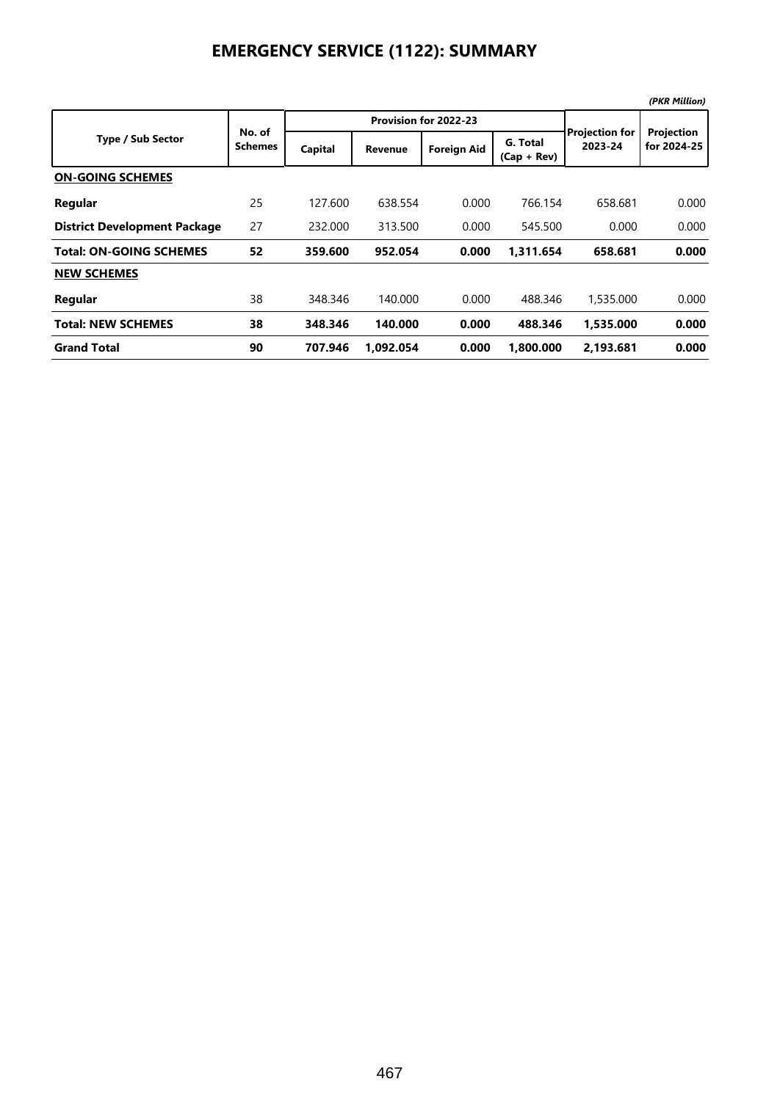|                                     |                          |         |                       |                    |                           |                                  | (PKR Million)             |  |
|-------------------------------------|--------------------------|---------|-----------------------|--------------------|---------------------------|----------------------------------|---------------------------|--|
|                                     |                          |         | Provision for 2022-23 |                    |                           |                                  |                           |  |
| <b>Type / Sub Sector</b>            | No. of<br><b>Schemes</b> | Capital | <b>Revenue</b>        | <b>Foreign Aid</b> | G. Total<br>$(Cap + Rev)$ | <b>Projection for</b><br>2023-24 | Projection<br>for 2024-25 |  |
| <b>ON-GOING SCHEMES</b>             |                          |         |                       |                    |                           |                                  |                           |  |
| Regular                             | 25                       | 127.600 | 638.554               | 0.000              | 766.154                   | 658.681                          | 0.000                     |  |
| <b>District Development Package</b> | 27                       | 232.000 | 313.500               | 0.000              | 545.500                   | 0.000                            | 0.000                     |  |
| <b>Total: ON-GOING SCHEMES</b>      | 52                       | 359.600 | 952.054               | 0.000              | 1.311.654                 | 658.681                          | 0.000                     |  |
| <b>NEW SCHEMES</b>                  |                          |         |                       |                    |                           |                                  |                           |  |
| Regular                             | 38                       | 348.346 | 140.000               | 0.000              | 488.346                   | 1,535,000                        | 0.000                     |  |
| <b>Total: NEW SCHEMES</b>           | 38                       | 348.346 | 140.000               | 0.000              | 488.346                   | 1.535.000                        | 0.000                     |  |
| <b>Grand Total</b>                  | 90                       | 707.946 | 1.092.054             | 0.000              | 1.800.000                 | 2.193.681                        | 0.000                     |  |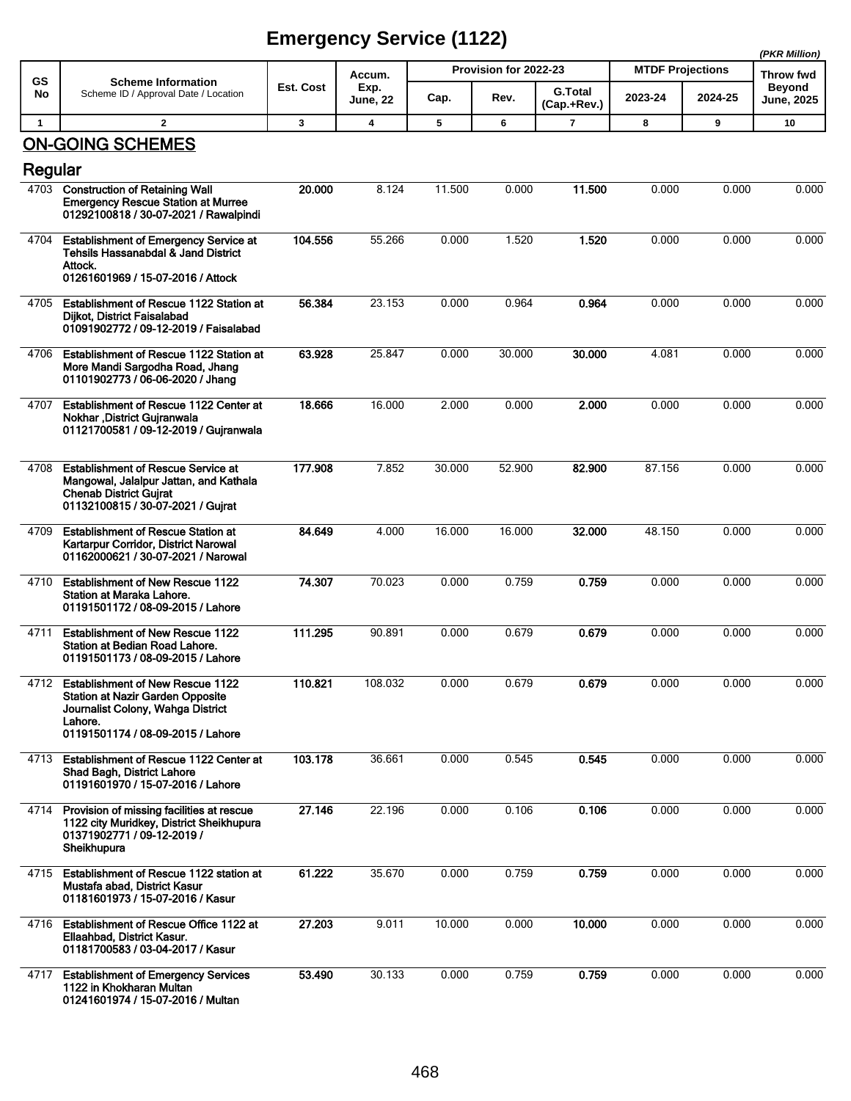| <b>GS</b>    | <b>Scheme Information</b>                                                                                                                                             | Est. Cost | Accum.<br>Exp.          |        | Provision for 2022-23 |                               | <b>MTDF Projections</b> | Throw fwd<br><b>Beyond</b> |                   |
|--------------|-----------------------------------------------------------------------------------------------------------------------------------------------------------------------|-----------|-------------------------|--------|-----------------------|-------------------------------|-------------------------|----------------------------|-------------------|
| No           | Scheme ID / Approval Date / Location                                                                                                                                  |           | <b>June, 22</b>         | Cap.   | Rev.                  | <b>G.Total</b><br>(Cap.+Rev.) | 2023-24                 | 2024-25                    | <b>June, 2025</b> |
| $\mathbf{1}$ | $\overline{2}$                                                                                                                                                        | 3         | $\overline{\mathbf{4}}$ | 5      | 6                     | $\overline{7}$                | 8                       | 9                          | 10                |
| Regular      | <b>ON-GOING SCHEMES</b>                                                                                                                                               |           |                         |        |                       |                               |                         |                            |                   |
|              | 4703 Construction of Retaining Wall<br><b>Emergency Rescue Station at Murree</b><br>01292100818 / 30-07-2021 / Rawalpindi                                             | 20.000    | 8.124                   | 11.500 | 0.000                 | 11.500                        | 0.000                   | 0.000                      | 0.000             |
| 4704         | <b>Establishment of Emergency Service at</b><br>Tehsils Hassanabdal & Jand District<br>Attock.<br>01261601969 / 15-07-2016 / Attock                                   | 104.556   | 55.266                  | 0.000  | 1.520                 | 1.520                         | 0.000                   | 0.000                      | 0.000             |
| 4705         | Establishment of Rescue 1122 Station at<br>Dijkot, District Faisalabad<br>01091902772 / 09-12-2019 / Faisalabad                                                       | 56.384    | 23.153                  | 0.000  | 0.964                 | 0.964                         | 0.000                   | 0.000                      | 0.000             |
| 4706         | <b>Establishment of Rescue 1122 Station at</b><br>More Mandi Sargodha Road, Jhang<br>01101902773 / 06-06-2020 / Jhang                                                 | 63.928    | 25.847                  | 0.000  | 30.000                | 30.000                        | 4.081                   | 0.000                      | 0.000             |
| 4707         | <b>Establishment of Rescue 1122 Center at</b><br>Nokhar , District Gujranwala<br>01121700581 / 09-12-2019 / Gujranwala                                                | 18.666    | 16.000                  | 2.000  | 0.000                 | 2.000                         | 0.000                   | 0.000                      | 0.000             |
| 4708         | <b>Establishment of Rescue Service at</b><br>Mangowal, Jalalpur Jattan, and Kathala<br><b>Chenab District Gujrat</b><br>01132100815 / 30-07-2021 / Gujrat             | 177.908   | 7.852                   | 30.000 | 52.900                | 82.900                        | 87.156                  | 0.000                      | 0.000             |
| 4709         | <b>Establishment of Rescue Station at</b><br>Kartarpur Corridor, District Narowal<br>01162000621 / 30-07-2021 / Narowal                                               | 84.649    | 4.000                   | 16.000 | 16.000                | 32.000                        | 48.150                  | 0.000                      | 0.000             |
| 4710         | <b>Establishment of New Rescue 1122</b><br>Station at Maraka Lahore.<br>01191501172 / 08-09-2015 / Lahore                                                             | 74.307    | 70.023                  | 0.000  | 0.759                 | 0.759                         | 0.000                   | 0.000                      | 0.000             |
| 4711         | <b>Establishment of New Rescue 1122</b><br><b>Station at Bedian Road Lahore.</b><br>01191501173 / 08-09-2015 / Lahore                                                 | 111.295   | 90.891                  | 0.000  | 0.679                 | 0.679                         | 0.000                   | 0.000                      | 0.000             |
|              | 4712 Establishment of New Rescue 1122<br><b>Station at Nazir Garden Opposite</b><br>Journalist Colony, Wahga District<br>Lahore.<br>01191501174 / 08-09-2015 / Lahore | 110.821   | 108.032                 | 0.000  | 0.679                 | 0.679                         | 0.000                   | 0.000                      | 0.000             |
| 4713         | Establishment of Rescue 1122 Center at<br>Shad Bagh, District Lahore<br>01191601970 / 15-07-2016 / Lahore                                                             | 103.178   | 36.661                  | 0.000  | 0.545                 | 0.545                         | 0.000                   | 0.000                      | 0.000             |
| 4714         | Provision of missing facilities at rescue<br>1122 city Muridkey, District Sheikhupura<br>01371902771 / 09-12-2019 /<br>Sheikhupura                                    | 27.146    | 22.196                  | 0.000  | 0.106                 | 0.106                         | 0.000                   | 0.000                      | 0.000             |
| 4715         | Establishment of Rescue 1122 station at<br>Mustafa abad, District Kasur<br>01181601973 / 15-07-2016 / Kasur                                                           | 61.222    | 35.670                  | 0.000  | 0.759                 | 0.759                         | 0.000                   | 0.000                      | 0.000             |
| 4716         | Establishment of Rescue Office 1122 at<br>Ellaahbad, District Kasur.<br>01181700583 / 03-04-2017 / Kasur                                                              | 27.203    | 9.011                   | 10.000 | 0.000                 | 10.000                        | 0.000                   | 0.000                      | 0.000             |
| 4717         | <b>Establishment of Emergency Services</b><br>1122 in Khokharan Multan<br>01241601974 / 15-07-2016 / Multan                                                           | 53.490    | 30.133                  | 0.000  | 0.759                 | 0.759                         | 0.000                   | 0.000                      | 0.000             |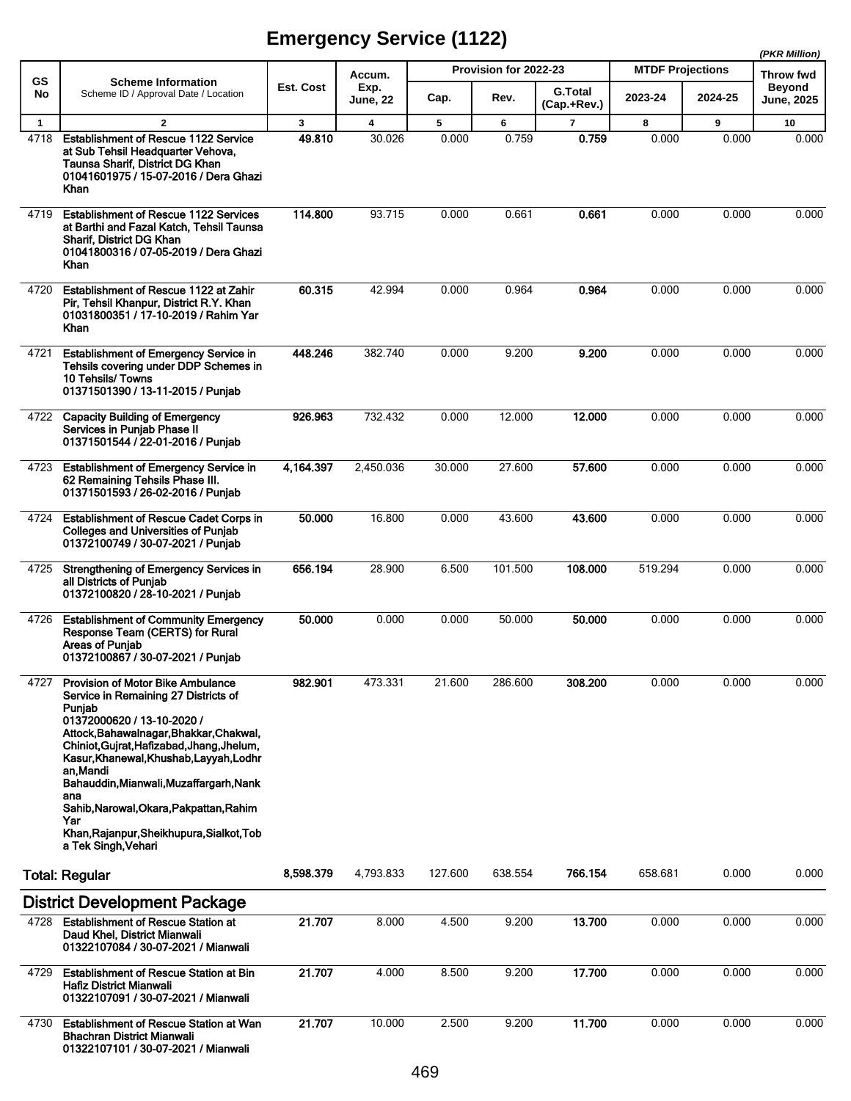**(PKR Million)**

|              |                                                                                                                                                                                                                                                                                                                                                                                                                                                  |             |                                   |            |                               |                          |                                    | (PKR Million) |                                                 |
|--------------|--------------------------------------------------------------------------------------------------------------------------------------------------------------------------------------------------------------------------------------------------------------------------------------------------------------------------------------------------------------------------------------------------------------------------------------------------|-------------|-----------------------------------|------------|-------------------------------|--------------------------|------------------------------------|---------------|-------------------------------------------------|
| GS<br>No     | <b>Scheme Information</b><br>Scheme ID / Approval Date / Location                                                                                                                                                                                                                                                                                                                                                                                | Est. Cost   | Accum.<br>Exp.<br><b>June, 22</b> | Cap.       | Provision for 2022-23<br>Rev. | <b>G.Total</b>           | <b>MTDF Projections</b><br>2023-24 | 2024-25       | Throw fwd<br><b>Beyond</b><br><b>June, 2025</b> |
|              |                                                                                                                                                                                                                                                                                                                                                                                                                                                  |             |                                   |            |                               | (Cap.+Rev.)              |                                    |               |                                                 |
| $\mathbf{1}$ | $\overline{\mathbf{2}}$<br><b>Establishment of Rescue 1122 Service</b>                                                                                                                                                                                                                                                                                                                                                                           | 3<br>49.810 | 4<br>30.026                       | 5<br>0.000 | 6<br>0.759                    | $\overline{\phantom{a}}$ | 8<br>0.000                         | 9<br>0.000    | 10<br>0.000                                     |
| 4718         | at Sub Tehsil Headquarter Vehova,<br>Taunsa Sharif, District DG Khan<br>01041601975 / 15-07-2016 / Dera Ghazi<br><b>Khan</b>                                                                                                                                                                                                                                                                                                                     |             |                                   |            |                               | 0.759                    |                                    |               |                                                 |
| 4719         | <b>Establishment of Rescue 1122 Services</b><br>at Barthi and Fazal Katch, Tehsil Taunsa<br>Sharif, District DG Khan<br>01041800316 / 07-05-2019 / Dera Ghazi<br>Khan                                                                                                                                                                                                                                                                            | 114.800     | 93.715                            | 0.000      | 0.661                         | 0.661                    | 0.000                              | 0.000         | 0.000                                           |
| 4720         | Establishment of Rescue 1122 at Zahir<br>Pir, Tehsil Khanpur, District R.Y. Khan<br>01031800351 / 17-10-2019 / Rahim Yar<br>Khan                                                                                                                                                                                                                                                                                                                 | 60.315      | 42.994                            | 0.000      | 0.964                         | 0.964                    | 0.000                              | 0.000         | 0.000                                           |
| 4721         | <b>Establishment of Emergency Service in</b><br>Tehsils covering under DDP Schemes in<br>10 Tehsils/ Towns<br>01371501390 / 13-11-2015 / Punjab                                                                                                                                                                                                                                                                                                  | 448.246     | 382.740                           | 0.000      | 9.200                         | 9.200                    | 0.000                              | 0.000         | 0.000                                           |
| 4722         | <b>Capacity Building of Emergency</b><br>Services in Punjab Phase II<br>01371501544 / 22-01-2016 / Punjab                                                                                                                                                                                                                                                                                                                                        | 926.963     | 732.432                           | 0.000      | 12.000                        | 12.000                   | 0.000                              | 0.000         | 0.000                                           |
| 4723         | <b>Establishment of Emergency Service in</b><br>62 Remaining Tehsils Phase III.<br>01371501593 / 26-02-2016 / Punjab                                                                                                                                                                                                                                                                                                                             | 4,164.397   | 2,450.036                         | 30.000     | 27.600                        | 57.600                   | 0.000                              | 0.000         | 0.000                                           |
| 4724         | <b>Establishment of Rescue Cadet Corps in</b><br><b>Colleges and Universities of Punjab</b><br>01372100749 / 30-07-2021 / Punjab                                                                                                                                                                                                                                                                                                                 | 50.000      | 16.800                            | 0.000      | 43.600                        | 43.600                   | 0.000                              | 0.000         | 0.000                                           |
| 4725         | Strengthening of Emergency Services in<br>all Districts of Punjab<br>01372100820 / 28-10-2021 / Punjab                                                                                                                                                                                                                                                                                                                                           | 656.194     | 28.900                            | 6.500      | 101.500                       | 108.000                  | 519.294                            | 0.000         | 0.000                                           |
| 4726         | <b>Establishment of Community Emergency</b><br>Response Team (CERTS) for Rural<br><b>Areas of Punjab</b><br>01372100867 / 30-07-2021 / Punjab                                                                                                                                                                                                                                                                                                    | 50,000      | 0.000                             | 0.000      | 50.000                        | 50,000                   | 0.000                              | 0.000         | 0.000                                           |
| 4727         | <b>Provision of Motor Bike Ambulance</b><br>Service in Remaining 27 Districts of<br>Punjab<br>01372000620 / 13-10-2020 /<br>Attock, Bahawalnagar, Bhakkar, Chakwal,<br>Chiniot, Gujrat, Hafizabad, Jhang, Jhelum,<br>Kasur, Khanewal, Khushab, Layyah, Lodhr<br>an Mandi<br>Bahauddin, Mianwali, Muzaffargarh, Nank<br>ana<br>Sahib, Narowal, Okara, Pakpattan, Rahim<br>Yar<br>Khan, Rajanpur, Sheikhupura, Sialkot, Tob<br>a Tek Singh, Vehari | 982.901     | 473.331                           | 21.600     | 286.600                       | 308.200                  | 0.000                              | 0.000         | 0.000                                           |
|              | <b>Total: Regular</b>                                                                                                                                                                                                                                                                                                                                                                                                                            | 8,598.379   | 4,793.833                         | 127.600    | 638.554                       | 766.154                  | 658.681                            | 0.000         | 0.000                                           |
|              | <b>District Development Package</b>                                                                                                                                                                                                                                                                                                                                                                                                              |             |                                   |            |                               |                          |                                    |               |                                                 |
| 4728         | <b>Establishment of Rescue Station at</b><br>Daud Khel, District Mianwali<br>01322107084 / 30-07-2021 / Mianwali                                                                                                                                                                                                                                                                                                                                 | 21.707      | 8.000                             | 4.500      | 9.200                         | 13.700                   | 0.000                              | 0.000         | 0.000                                           |
| 4729         | <b>Establishment of Rescue Station at Bin</b><br><b>Hafiz District Mianwali</b><br>01322107091 / 30-07-2021 / Mianwali                                                                                                                                                                                                                                                                                                                           | 21.707      | 4.000                             | 8.500      | 9.200                         | 17.700                   | 0.000                              | 0.000         | 0.000                                           |
| 4730         | <b>Establishment of Rescue Station at Wan</b><br><b>Bhachran District Mianwali</b><br>01322107101 / 30-07-2021 / Mianwali                                                                                                                                                                                                                                                                                                                        | 21.707      | 10.000                            | 2.500      | 9.200                         | 11.700                   | 0.000                              | 0.000         | 0.000                                           |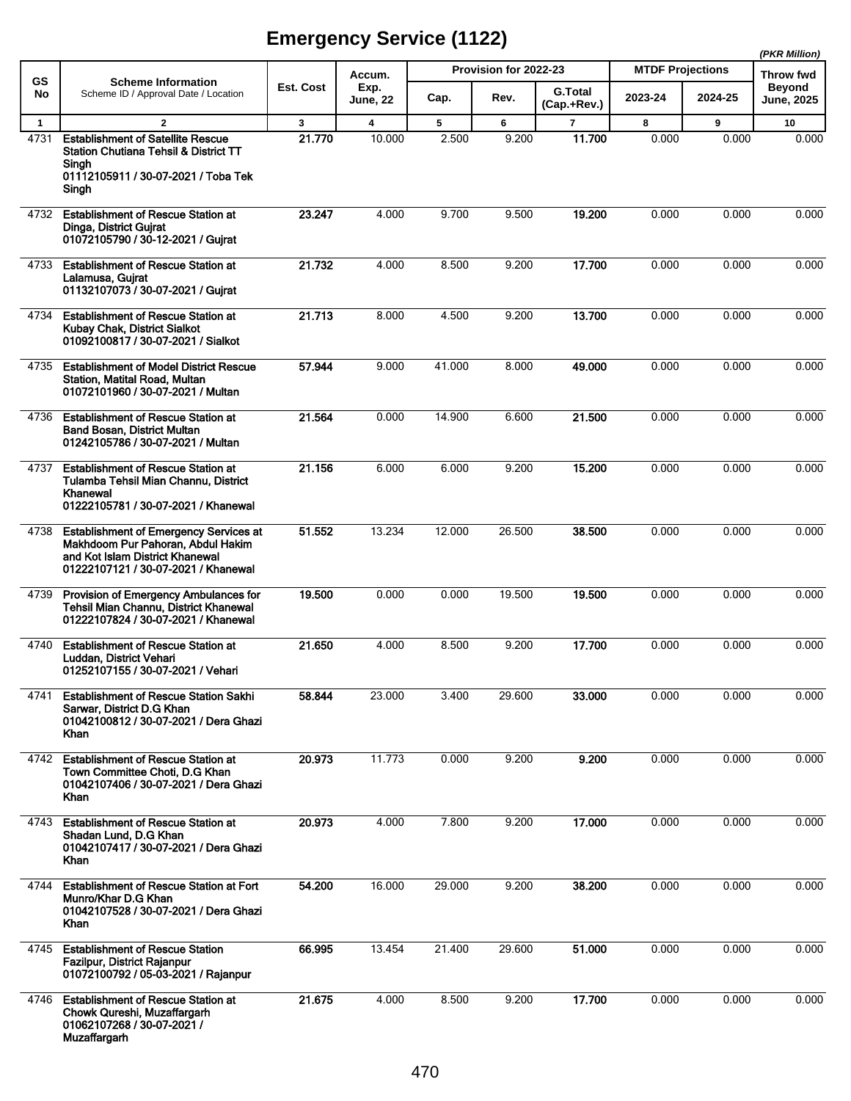|                      |                                                                                                                                                              |             |                                   |            | Provision for 2022-23 |                          | <b>MTDF Projections</b> | (PKR Million) |                                                 |
|----------------------|--------------------------------------------------------------------------------------------------------------------------------------------------------------|-------------|-----------------------------------|------------|-----------------------|--------------------------|-------------------------|---------------|-------------------------------------------------|
| GS<br>No             | <b>Scheme Information</b><br>Scheme ID / Approval Date / Location                                                                                            | Est. Cost   | Accum.<br>Exp.<br><b>June, 22</b> | Cap.       | Rev.                  | <b>G.Total</b>           | 2023-24                 | 2024-25       | Throw fwd<br><b>Beyond</b><br><b>June, 2025</b> |
|                      | $\mathbf{2}$                                                                                                                                                 |             |                                   |            |                       | (Cap.+Rev.)              |                         |               |                                                 |
| $\mathbf{1}$<br>4731 | <b>Establishment of Satellite Rescue</b><br><b>Station Chutiana Tehsil &amp; District TT</b><br>Sinah<br>01112105911 / 30-07-2021 / Toba Tek                 | 3<br>21.770 | 4<br>10.000                       | 5<br>2.500 | 6<br>9.200            | $\overline{7}$<br>11.700 | 8<br>0.000              | 9<br>0.000    | 10<br>0.000                                     |
|                      | Singh                                                                                                                                                        |             |                                   |            |                       |                          |                         |               |                                                 |
| 4732                 | <b>Establishment of Rescue Station at</b><br>Dinga, District Gujrat<br>01072105790 / 30-12-2021 / Gujrat                                                     | 23.247      | 4.000                             | 9.700      | 9.500                 | 19.200                   | 0.000                   | 0.000         | 0.000                                           |
| 4733                 | <b>Establishment of Rescue Station at</b><br>Lalamusa, Gujrat<br>01132107073 / 30-07-2021 / Gujrat                                                           | 21.732      | 4.000                             | 8.500      | 9.200                 | 17.700                   | 0.000                   | 0.000         | 0.000                                           |
| 4734                 | <b>Establishment of Rescue Station at</b><br>Kubay Chak, District Sialkot<br>01092100817 / 30-07-2021 / Sialkot                                              | 21.713      | 8.000                             | 4.500      | 9.200                 | 13.700                   | 0.000                   | 0.000         | 0.000                                           |
| 4735                 | <b>Establishment of Model District Rescue</b><br>Station, Matital Road, Multan<br>01072101960 / 30-07-2021 / Multan                                          | 57.944      | 9.000                             | 41.000     | 8.000                 | 49.000                   | 0.000                   | 0.000         | 0.000                                           |
| 4736                 | <b>Establishment of Rescue Station at</b><br><b>Band Bosan, District Multan</b><br>01242105786 / 30-07-2021 / Multan                                         | 21.564      | 0.000                             | 14.900     | 6.600                 | 21.500                   | 0.000                   | 0.000         | 0.000                                           |
| 4737                 | <b>Establishment of Rescue Station at</b><br>Tulamba Tehsil Mian Channu, District<br>Khanewal<br>01222105781 / 30-07-2021 / Khanewal                         | 21.156      | 6.000                             | 6.000      | 9.200                 | 15.200                   | 0.000                   | 0.000         | 0.000                                           |
| 4738                 | <b>Establishment of Emergency Services at</b><br>Makhdoom Pur Pahoran, Abdul Hakim<br>and Kot Islam District Khanewal<br>01222107121 / 30-07-2021 / Khanewal | 51.552      | 13.234                            | 12.000     | 26.500                | 38.500                   | 0.000                   | 0.000         | 0.000                                           |
| 4739                 | Provision of Emergency Ambulances for<br><b>Tehsil Mian Channu, District Khanewal</b><br>01222107824 / 30-07-2021 / Khanewal                                 | 19.500      | 0.000                             | 0.000      | 19.500                | 19.500                   | 0.000                   | 0.000         | 0.000                                           |
| 4740                 | <b>Establishment of Rescue Station at</b><br>Luddan, District Vehari<br>01252107155 / 30-07-2021 / Vehari                                                    | 21.650      | 4.000                             | 8.500      | 9.200                 | 17.700                   | 0.000                   | 0.000         | 0.000                                           |
| 4741                 | <b>Establishment of Rescue Station Sakhi</b><br>Sarwar, District D.G Khan<br>01042100812 / 30-07-2021 / Dera Ghazi<br>Khan                                   | 58.844      | 23.000                            | 3.400      | 29.600                | 33.000                   | 0.000                   | 0.000         | 0.000                                           |
| 4742                 | <b>Establishment of Rescue Station at</b><br>Town Committee Choti, D.G Khan<br>01042107406 / 30-07-2021 / Dera Ghazi<br>Khan                                 | 20.973      | 11.773                            | 0.000      | 9.200                 | 9.200                    | 0.000                   | 0.000         | 0.000                                           |
| 4743                 | <b>Establishment of Rescue Station at</b><br>Shadan Lund, D.G Khan<br>01042107417 / 30-07-2021 / Dera Ghazi<br>Khan                                          | 20.973      | 4.000                             | 7.800      | 9.200                 | 17.000                   | 0.000                   | 0.000         | 0.000                                           |
| 4744                 | <b>Establishment of Rescue Station at Fort</b><br>Munro/Khar D.G Khan<br>01042107528 / 30-07-2021 / Dera Ghazi<br>Khan                                       | 54.200      | 16.000                            | 29.000     | 9.200                 | 38.200                   | 0.000                   | 0.000         | 0.000                                           |
| 4745                 | <b>Establishment of Rescue Station</b><br>Fazilpur, District Rajanpur<br>01072100792 / 05-03-2021 / Rajanpur                                                 | 66.995      | 13.454                            | 21.400     | 29.600                | 51.000                   | 0.000                   | 0.000         | 0.000                                           |
| 4746                 | <b>Establishment of Rescue Station at</b><br>Chowk Qureshi, Muzaffargarh<br>01062107268 / 30-07-2021 /<br><b>Muzaffargarh</b>                                | 21.675      | 4.000                             | 8.500      | 9.200                 | 17.700                   | 0.000                   | 0.000         | 0.000                                           |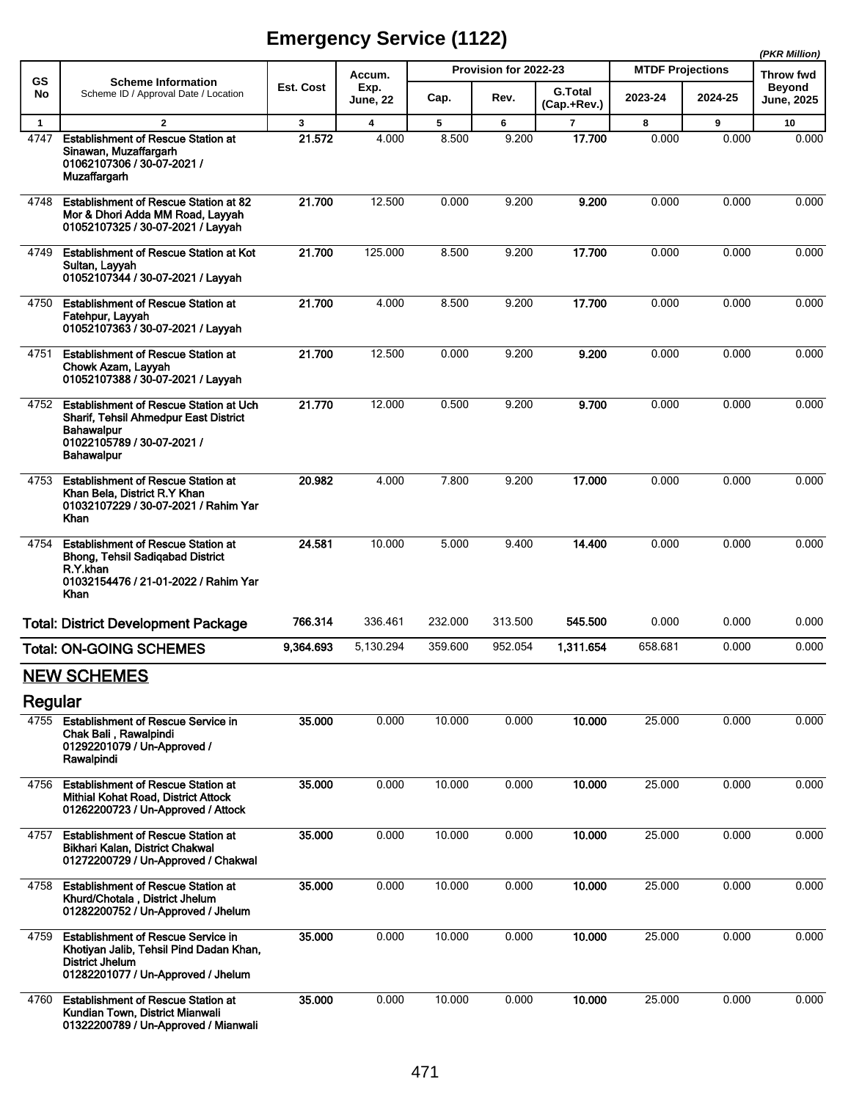|              |                                                                                                                                                         |           |                 |                       |         |                               |                         |                                   | (PKR Million) |
|--------------|---------------------------------------------------------------------------------------------------------------------------------------------------------|-----------|-----------------|-----------------------|---------|-------------------------------|-------------------------|-----------------------------------|---------------|
| GS           | <b>Scheme Information</b>                                                                                                                               | Est. Cost | Accum.<br>Exp.  | Provision for 2022-23 |         |                               | <b>MTDF Projections</b> | <b>Throw fwd</b><br><b>Beyond</b> |               |
| No           | Scheme ID / Approval Date / Location                                                                                                                    |           | <b>June, 22</b> | Cap.                  | Rev.    | <b>G.Total</b><br>(Cap.+Rev.) | 2023-24                 | 2024-25                           | June, 2025    |
| $\mathbf{1}$ | $\overline{2}$                                                                                                                                          | 3         | 4               | 5                     | 6       | $\overline{7}$                | 8                       | 9                                 | 10            |
| 4747         | <b>Establishment of Rescue Station at</b><br>Sinawan, Muzaffargarh<br>01062107306 / 30-07-2021 /<br><b>Muzaffargarh</b>                                 | 21.572    | 4.000           | 8.500                 | 9.200   | 17.700                        | 0.000                   | 0.000                             | 0.000         |
| 4748         | Establishment of Rescue Station at 82<br>Mor & Dhori Adda MM Road, Layyah<br>01052107325 / 30-07-2021 / Layyah                                          | 21.700    | 12.500          | 0.000                 | 9.200   | 9.200                         | 0.000                   | 0.000                             | 0.000         |
| 4749         | <b>Establishment of Rescue Station at Kot</b><br>Sultan, Layyah<br>01052107344 / 30-07-2021 / Layyah                                                    | 21.700    | 125.000         | 8.500                 | 9.200   | 17.700                        | 0.000                   | 0.000                             | 0.000         |
| 4750         | <b>Establishment of Rescue Station at</b><br>Fatehpur, Layyah<br>01052107363 / 30-07-2021 / Layyah                                                      | 21.700    | 4.000           | 8.500                 | 9.200   | 17.700                        | 0.000                   | 0.000                             | 0.000         |
| 4751         | <b>Establishment of Rescue Station at</b><br>Chowk Azam, Layyah<br>01052107388 / 30-07-2021 / Layyah                                                    | 21.700    | 12.500          | 0.000                 | 9.200   | 9.200                         | 0.000                   | 0.000                             | 0.000         |
| 4752         | <b>Establishment of Rescue Station at Uch</b><br>Sharif, Tehsil Ahmedpur East District<br><b>Bahawalpur</b><br>01022105789 / 30-07-2021 /<br>Bahawalpur | 21.770    | 12.000          | 0.500                 | 9.200   | 9.700                         | 0.000                   | 0.000                             | 0.000         |
| 4753         | <b>Establishment of Rescue Station at</b><br>Khan Bela, District R.Y Khan<br>01032107229 / 30-07-2021 / Rahim Yar<br>Khan                               | 20.982    | 4.000           | 7.800                 | 9.200   | 17.000                        | 0.000                   | 0.000                             | 0.000         |
| 4754         | <b>Establishment of Rescue Station at</b><br><b>Bhong, Tehsil Sadigabad District</b><br>R.Y.khan<br>01032154476 / 21-01-2022 / Rahim Yar<br>Khan        | 24.581    | 10.000          | 5.000                 | 9.400   | 14.400                        | 0.000                   | 0.000                             | 0.000         |
|              | <b>Total: District Development Package</b>                                                                                                              | 766.314   | 336.461         | 232.000               | 313.500 | 545.500                       | 0.000                   | 0.000                             | 0.000         |
|              | <b>Total: ON-GOING SCHEMES</b>                                                                                                                          | 9,364.693 | 5,130.294       | 359.600               | 952.054 | 1,311.654                     | 658.681                 | 0.000                             | 0.000         |
|              | <b>NEW SCHEMES</b>                                                                                                                                      |           |                 |                       |         |                               |                         |                                   |               |
| Regular      |                                                                                                                                                         |           |                 |                       |         |                               |                         |                                   |               |
| 4755         | <b>Establishment of Rescue Service in</b><br>Chak Bali, Rawalpindi<br>01292201079 / Un-Approved /<br>Rawalpindi                                         | 35.000    | 0.000           | 10.000                | 0.000   | 10.000                        | 25.000                  | 0.000                             | 0.000         |
| 4756         | <b>Establishment of Rescue Station at</b><br>Mithial Kohat Road, District Attock<br>01262200723 / Un-Approved / Attock                                  | 35,000    | 0.000           | 10.000                | 0.000   | 10.000                        | 25.000                  | 0.000                             | 0.000         |
| 4757         | <b>Establishment of Rescue Station at</b><br>Bikhari Kalan, District Chakwal<br>01272200729 / Un-Approved / Chakwal                                     | 35.000    | 0.000           | 10.000                | 0.000   | 10.000                        | 25.000                  | 0.000                             | 0.000         |
| 4758         | <b>Establishment of Rescue Station at</b><br>Khurd/Chotala, District Jhelum<br>01282200752 / Un-Approved / Jhelum                                       | 35.000    | 0.000           | 10.000                | 0.000   | 10.000                        | 25.000                  | 0.000                             | 0.000         |
| 4759         | <b>Establishment of Rescue Service in</b><br>Khotiyan Jalib, Tehsil Pind Dadan Khan,<br><b>District Jhelum</b><br>01282201077 / Un-Approved / Jhelum    | 35.000    | 0.000           | 10.000                | 0.000   | 10.000                        | 25.000                  | 0.000                             | 0.000         |
| 4760         | <b>Establishment of Rescue Station at</b><br>Kundian Town, District Mianwali<br>01322200789 / Un-Approved / Mianwali                                    | 35.000    | 0.000           | 10.000                | 0.000   | 10.000                        | 25.000                  | 0.000                             | 0.000         |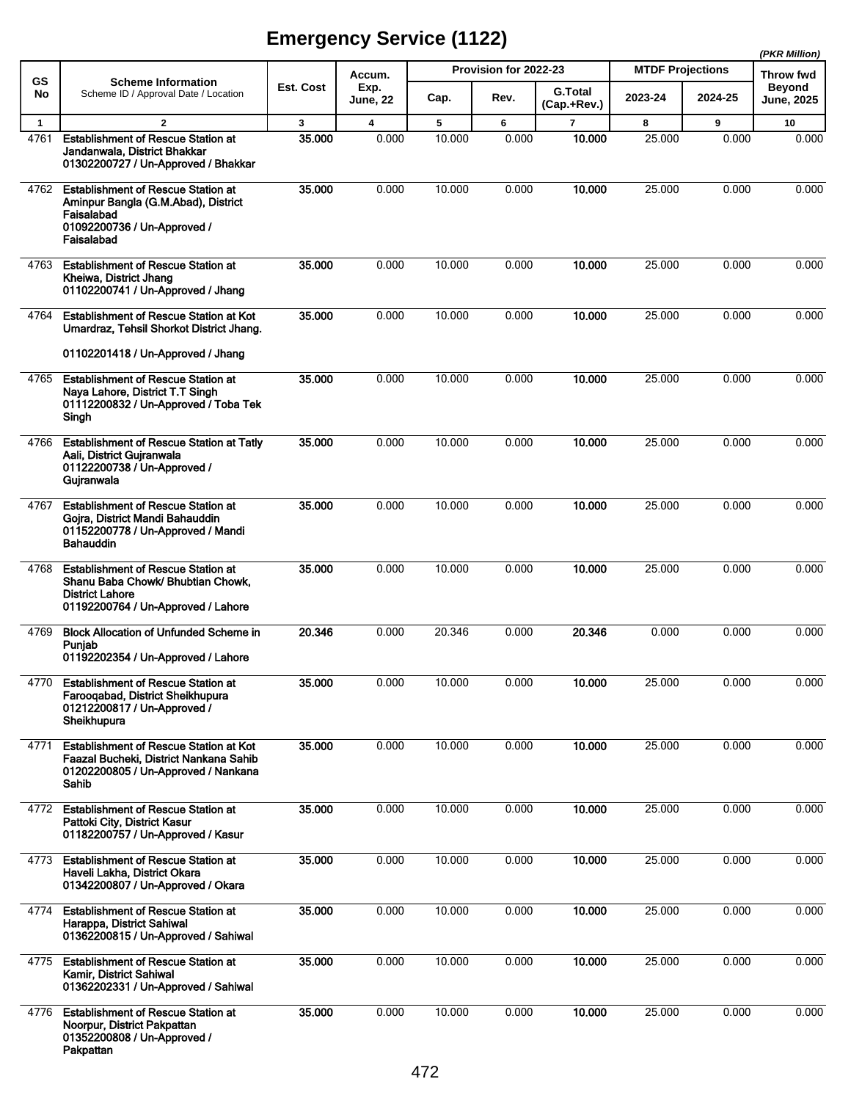|              |                                                                                                                                                |           |                |        |                       |                               |                         |         | (PKR Million)                     |
|--------------|------------------------------------------------------------------------------------------------------------------------------------------------|-----------|----------------|--------|-----------------------|-------------------------------|-------------------------|---------|-----------------------------------|
| <b>GS</b>    | <b>Scheme Information</b>                                                                                                                      | Est. Cost | Accum.<br>Exp. |        | Provision for 2022-23 |                               | <b>MTDF Projections</b> |         | <b>Throw fwd</b><br><b>Beyond</b> |
| No           | Scheme ID / Approval Date / Location                                                                                                           |           | June, 22       | Cap.   | Rev.                  | <b>G.Total</b><br>(Cap.+Rev.) | 2023-24                 | 2024-25 | <b>June, 2025</b>                 |
| $\mathbf{1}$ | $\overline{2}$                                                                                                                                 | 3         | 4              | 5      | 6                     | $\overline{7}$                | 8                       | 9       | 10                                |
| 4761         | <b>Establishment of Rescue Station at</b><br>Jandanwala, District Bhakkar<br>01302200727 / Un-Approved / Bhakkar                               | 35.000    | 0.000          | 10.000 | 0.000                 | 10.000                        | 25.000                  | 0.000   | 0.000                             |
| 4762         | <b>Establishment of Rescue Station at</b><br>Aminpur Bangla (G.M.Abad), District<br>Faisalabad<br>01092200736 / Un-Approved /<br>Faisalabad    | 35,000    | 0.000          | 10.000 | 0.000                 | 10.000                        | 25.000                  | 0.000   | 0.000                             |
| 4763         | <b>Establishment of Rescue Station at</b><br>Kheiwa, District Jhang<br>01102200741 / Un-Approved / Jhang                                       | 35.000    | 0.000          | 10.000 | 0.000                 | 10.000                        | 25.000                  | 0.000   | 0.000                             |
| 4764         | <b>Establishment of Rescue Station at Kot</b><br>Umardraz, Tehsil Shorkot District Jhang.                                                      | 35.000    | 0.000          | 10.000 | 0.000                 | 10.000                        | 25.000                  | 0.000   | 0.000                             |
|              | 01102201418 / Un-Approved / Jhang                                                                                                              |           |                |        |                       |                               |                         |         |                                   |
| 4765         | <b>Establishment of Rescue Station at</b><br>Naya Lahore, District T.T Singh<br>01112200832 / Un-Approved / Toba Tek<br>Singh                  | 35.000    | 0.000          | 10.000 | 0.000                 | 10.000                        | 25.000                  | 0.000   | 0.000                             |
| 4766         | <b>Establishment of Rescue Station at Tatly</b><br>Aali, District Guiranwala<br>01122200738 / Un-Approved /<br>Gujranwala                      | 35.000    | 0.000          | 10.000 | 0.000                 | 10.000                        | 25.000                  | 0.000   | 0.000                             |
| 4767         | <b>Establishment of Rescue Station at</b><br>Gojra, District Mandi Bahauddin<br>01152200778 / Un-Approved / Mandi<br><b>Bahauddin</b>          | 35.000    | 0.000          | 10.000 | 0.000                 | 10.000                        | 25.000                  | 0.000   | 0.000                             |
| 4768         | <b>Establishment of Rescue Station at</b><br>Shanu Baba Chowk/ Bhubtian Chowk,<br><b>District Lahore</b><br>01192200764 / Un-Approved / Lahore | 35.000    | 0.000          | 10.000 | 0.000                 | 10.000                        | 25.000                  | 0.000   | 0.000                             |
| 4769         | <b>Block Allocation of Unfunded Scheme in</b><br>Punjab<br>01192202354 / Un-Approved / Lahore                                                  | 20.346    | 0.000          | 20.346 | 0.000                 | 20.346                        | 0.000                   | 0.000   | 0.000                             |
| 4770         | <b>Establishment of Rescue Station at</b><br>Farooqabad, District Sheikhupura<br>01212200817 / Un-Approved /<br>Sheikhupura                    | 35.000    | 0.000          | 10.000 | 0.000                 | 10.000                        | 25.000                  | 0.000   | 0.000                             |
| 4771         | <b>Establishment of Rescue Station at Kot</b><br>Faazal Bucheki, District Nankana Sahib<br>01202200805 / Un-Approved / Nankana<br>Sahib        | 35.000    | 0.000          | 10.000 | 0.000                 | 10.000                        | 25.000                  | 0.000   | 0.000                             |
| 4772         | <b>Establishment of Rescue Station at</b><br>Pattoki City, District Kasur<br>01182200757 / Un-Approved / Kasur                                 | 35.000    | 0.000          | 10.000 | 0.000                 | 10.000                        | 25.000                  | 0.000   | 0.000                             |
| 4773         | <b>Establishment of Rescue Station at</b><br>Haveli Lakha, District Okara<br>01342200807 / Un-Approved / Okara                                 | 35.000    | 0.000          | 10.000 | 0.000                 | 10.000                        | 25.000                  | 0.000   | 0.000                             |
| 4774         | <b>Establishment of Rescue Station at</b><br>Harappa, District Sahiwal<br>01362200815 / Un-Approved / Sahiwal                                  | 35.000    | 0.000          | 10.000 | 0.000                 | 10.000                        | 25.000                  | 0.000   | 0.000                             |
| 4775         | <b>Establishment of Rescue Station at</b><br>Kamir, District Sahiwal<br>01362202331 / Un-Approved / Sahiwal                                    | 35.000    | 0.000          | 10.000 | 0.000                 | 10.000                        | 25.000                  | 0.000   | 0.000                             |
| 4776         | <b>Establishment of Rescue Station at</b><br>Noorpur, District Pakpattan<br>01352200808 / Un-Approved /<br>Pakpattan                           | 35.000    | 0.000          | 10.000 | 0.000                 | 10.000                        | 25.000                  | 0.000   | 0.000                             |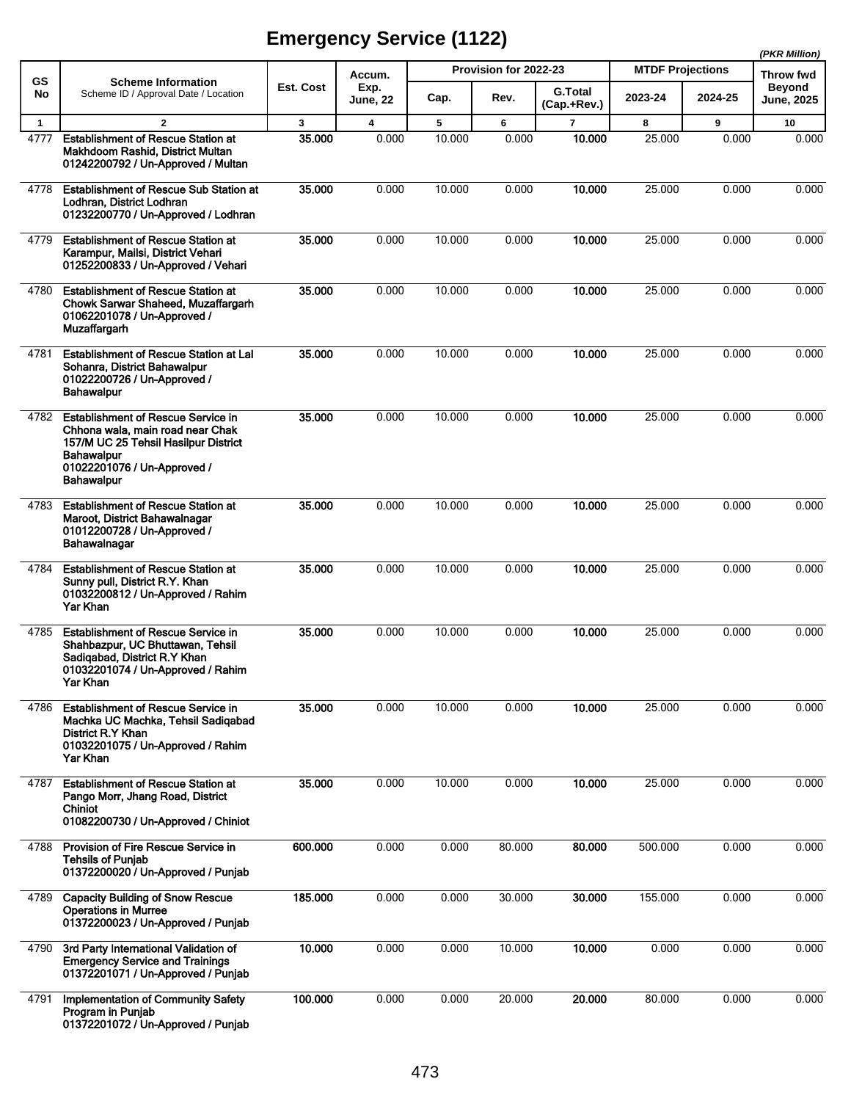|              |                                                                                                                                                                                                |           |                         |        |                       |                               |                         |         | (PKR Million)                      |
|--------------|------------------------------------------------------------------------------------------------------------------------------------------------------------------------------------------------|-----------|-------------------------|--------|-----------------------|-------------------------------|-------------------------|---------|------------------------------------|
| <b>GS</b>    | <b>Scheme Information</b>                                                                                                                                                                      |           | Accum.                  |        | Provision for 2022-23 |                               | <b>MTDF Projections</b> |         | Throw fwd                          |
| No           | Scheme ID / Approval Date / Location                                                                                                                                                           | Est. Cost | Exp.<br>June, 22        | Cap.   | Rev.                  | <b>G.Total</b><br>(Cap.+Rev.) | 2023-24                 | 2024-25 | <b>Beyond</b><br><b>June, 2025</b> |
| $\mathbf{1}$ | $\overline{2}$                                                                                                                                                                                 | 3         | $\overline{\mathbf{4}}$ | 5      | 6                     | $\overline{\mathbf{r}}$       | 8                       | 9       | 10                                 |
| 4777         | <b>Establishment of Rescue Station at</b><br>Makhdoom Rashid, District Multan<br>01242200792 / Un-Approved / Multan                                                                            | 35,000    | 0.000                   | 10.000 | 0.000                 | 10.000                        | 25.000                  | 0.000   | 0.000                              |
| 4778         | <b>Establishment of Rescue Sub Station at</b><br>Lodhran, District Lodhran<br>01232200770 / Un-Approved / Lodhran                                                                              | 35.000    | 0.000                   | 10.000 | 0.000                 | 10.000                        | 25.000                  | 0.000   | 0.000                              |
| 4779         | <b>Establishment of Rescue Station at</b><br>Karampur, Mailsi, District Vehari<br>01252200833 / Un-Approved / Vehari                                                                           | 35.000    | 0.000                   | 10.000 | 0.000                 | 10.000                        | 25.000                  | 0.000   | 0.000                              |
| 4780         | <b>Establishment of Rescue Station at</b><br>Chowk Sarwar Shaheed, Muzaffargarh<br>01062201078 / Un-Approved /<br><b>Muzaffargarh</b>                                                          | 35.000    | 0.000                   | 10.000 | 0.000                 | 10.000                        | 25.000                  | 0.000   | 0.000                              |
| 4781         | <b>Establishment of Rescue Station at Lal</b><br>Sohanra, District Bahawalpur<br>01022200726 / Un-Approved /<br><b>Bahawalpur</b>                                                              | 35.000    | 0.000                   | 10.000 | 0.000                 | 10.000                        | 25.000                  | 0.000   | 0.000                              |
| 4782         | <b>Establishment of Rescue Service in</b><br>Chhona wala, main road near Chak<br>157/M UC 25 Tehsil Hasilpur District<br><b>Bahawalpur</b><br>01022201076 / Un-Approved /<br><b>Bahawalpur</b> | 35,000    | 0.000                   | 10.000 | 0.000                 | 10.000                        | 25.000                  | 0.000   | 0.000                              |
| 4783         | <b>Establishment of Rescue Station at</b><br>Maroot, District Bahawalnagar<br>01012200728 / Un-Approved /<br>Bahawalnagar                                                                      | 35,000    | 0.000                   | 10.000 | 0.000                 | 10.000                        | 25.000                  | 0.000   | 0.000                              |
| 4784         | <b>Establishment of Rescue Station at</b><br>Sunny pull, District R.Y. Khan<br>01032200812 / Un-Approved / Rahim<br>Yar Khan                                                                   | 35.000    | 0.000                   | 10.000 | 0.000                 | 10.000                        | 25.000                  | 0.000   | 0.000                              |
| 4785         | <b>Establishment of Rescue Service in</b><br>Shahbazpur, UC Bhuttawan, Tehsil<br>Sadiqabad, District R.Y Khan<br>01032201074 / Un-Approved / Rahim<br>Yar Khan                                 | 35.000    | 0.000                   | 10.000 | 0.000                 | 10.000                        | 25.000                  | 0.000   | 0.000                              |
| 4786         | <b>Establishment of Rescue Service in</b><br>Machka UC Machka, Tehsil Sadiqabad<br>District R.Y Khan<br>01032201075 / Un-Approved / Rahim<br>Yar Khan                                          | 35.000    | 0.000                   | 10.000 | 0.000                 | 10.000                        | 25.000                  | 0.000   | 0.000                              |
| 4787         | <b>Establishment of Rescue Station at</b><br>Pango Morr, Jhang Road, District<br>Chiniot<br>01082200730 / Un-Approved / Chiniot                                                                | 35.000    | 0.000                   | 10.000 | 0.000                 | 10.000                        | 25.000                  | 0.000   | 0.000                              |
| 4788         | Provision of Fire Rescue Service in<br><b>Tehsils of Punjab</b><br>01372200020 / Un-Approved / Punjab                                                                                          | 600.000   | 0.000                   | 0.000  | 80.000                | 80.000                        | 500.000                 | 0.000   | 0.000                              |
| 4789         | <b>Capacity Building of Snow Rescue</b><br><b>Operations in Murree</b><br>01372200023 / Un-Approved / Punjab                                                                                   | 185.000   | 0.000                   | 0.000  | 30.000                | 30.000                        | 155.000                 | 0.000   | 0.000                              |
| 4790         | 3rd Party International Validation of<br><b>Emergency Service and Trainings</b><br>01372201071 / Un-Approved / Punjab                                                                          | 10.000    | 0.000                   | 0.000  | 10.000                | 10.000                        | 0.000                   | 0.000   | 0.000                              |
| 4791         | Implementation of Community Safety<br>Program in Punjab<br>01372201072 / Un-Approved / Punjab                                                                                                  | 100.000   | 0.000                   | 0.000  | 20.000                | 20.000                        | 80.000                  | 0.000   | 0.000                              |